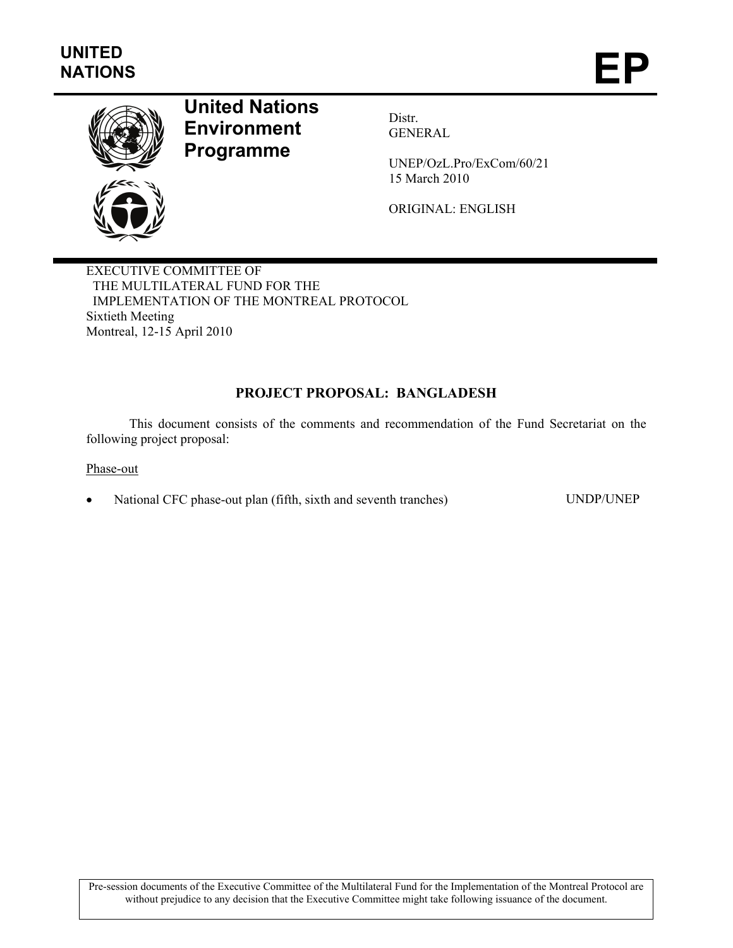

# **United Nations Environment Programme**

Distr. GENERAL

UNEP/OzL.Pro/ExCom/60/21 15 March 2010

ORIGINAL: ENGLISH

EXECUTIVE COMMITTEE OF THE MULTILATERAL FUND FOR THE IMPLEMENTATION OF THE MONTREAL PROTOCOL Sixtieth Meeting Montreal, 12-15 April 2010

## **PROJECT PROPOSAL: BANGLADESH**

This document consists of the comments and recommendation of the Fund Secretariat on the following project proposal:

Phase-out

• National CFC phase-out plan (fifth, sixth and seventh tranches) UNDP/UNEP

Pre-session documents of the Executive Committee of the Multilateral Fund for the Implementation of the Montreal Protocol are without prejudice to any decision that the Executive Committee might take following issuance of the document.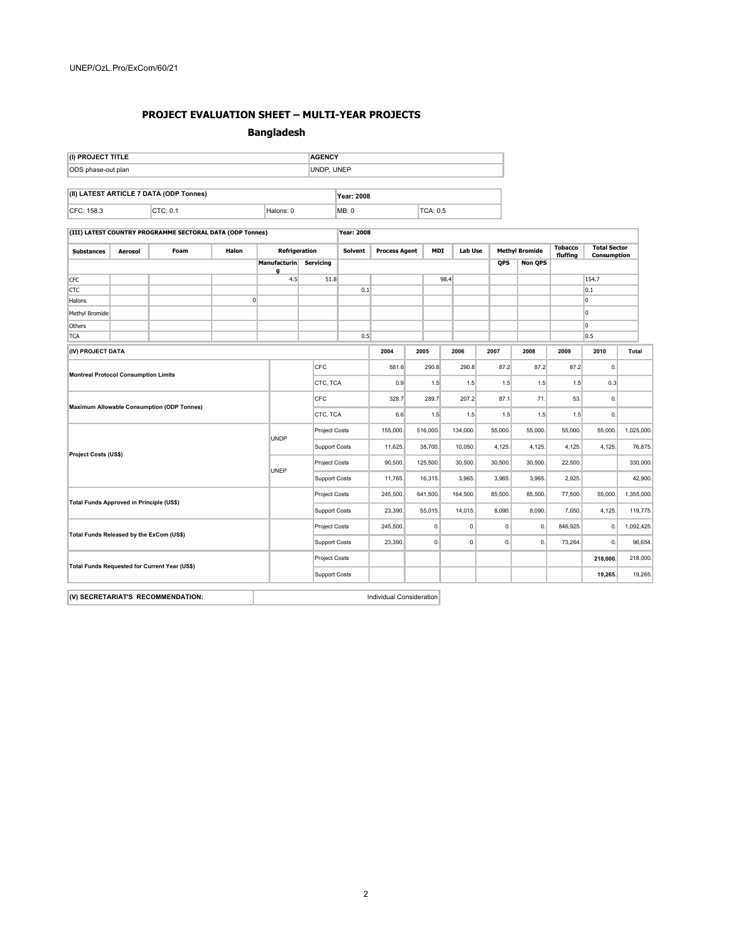#### **PROJECT EVALUATION SHEET – MULTI-YEAR PROJECTS**

#### **Bangladesh**

| (I) PROJECT TITLE                                                                                                                                                                                                                                                                                                                                                                                                                  | <b>AGENCY</b> |
|------------------------------------------------------------------------------------------------------------------------------------------------------------------------------------------------------------------------------------------------------------------------------------------------------------------------------------------------------------------------------------------------------------------------------------|---------------|
| ODS phase-out plan                                                                                                                                                                                                                                                                                                                                                                                                                 | UNDP. UNEP    |
|                                                                                                                                                                                                                                                                                                                                                                                                                                    |               |
| $\left  \right $ $\left  \right $ $\left  \right $ $\left  \right $ $\left  \right $ $\left  \right $ $\left  \right $ $\left  \right $ $\left  \right $ $\left  \right $ $\left  \right $ $\left  \right $ $\left  \right $ $\left  \right $ $\left  \right $ $\left  \right $ $\left  \right $ $\left  \right $ $\left  \right $ $\left  \right $ $\left  \right $ $\left  \right $ $\left  \right $ $\left  \right $ $\left  \$ | . .<br>-----  |

| (II) LATEST ARTICLE 7 DATA (ODP Tonnes) |  | Year: 2008 |       |         |  |  |  |
|-----------------------------------------|--|------------|-------|---------|--|--|--|
| CFC: 158.3                              |  | alons: I   | MB: C | CA: 0.5 |  |  |  |

**(III) LATEST COUNTRY PROGRAMME SECTORAL DATA (ODP Tonnes) Year: 2008**

| <b>Substances</b>                             | Aerosol | Foam | Halon                | Refrigeration               |               | Solvent |              | <b>Process Agent</b><br>MDI |          | Lab Use |            | <b>Methyl Bromide</b> |                | <b>Total Sector</b><br>Consumption |       |
|-----------------------------------------------|---------|------|----------------------|-----------------------------|---------------|---------|--------------|-----------------------------|----------|---------|------------|-----------------------|----------------|------------------------------------|-------|
|                                               |         |      |                      | Manufacturin Servicing<br>a |               |         |              |                             |          |         | <b>QPS</b> | <b>Non QPS</b>        | fluffing       |                                    |       |
| <b>CFC</b>                                    |         |      |                      | 4.5                         | 51.8          |         |              |                             | 98.4     |         |            |                       |                | 154.7                              |       |
| CTC                                           |         |      |                      |                             |               | 0.1     |              |                             |          |         |            |                       |                | $\vert_{0.1}$                      |       |
| Halons                                        |         |      | $\overline{0}$       |                             |               |         |              |                             |          |         |            |                       |                | 0                                  |       |
| Methyl Bromide                                |         |      |                      |                             |               |         |              |                             |          |         |            |                       |                | 0                                  |       |
| Others                                        |         |      |                      |                             |               |         |              |                             |          |         |            |                       |                | I٥                                 |       |
| <b>TCA</b>                                    |         |      |                      |                             |               | 0.5     |              |                             |          |         |            |                       |                | 0.5                                |       |
| (IV) PROJECT DATA                             |         |      |                      |                             |               |         | 2004<br>2005 |                             |          | 2006    | 2007       | 2008                  | 2009           | 2010                               | Total |
|                                               |         |      |                      | CFC                         |               | 581.6   |              | 290.8                       | 290.8    | 87.2    | 87.2       | 87.2                  | $\mathbf{0}$ . |                                    |       |
| <b>Montreal Protocol Consumption Limits</b>   |         |      |                      | CTC, TCA                    |               | 0.9     | 1.5          | 1.5                         | 1.5      | 1.5     | 1.5        | 0.3                   |                |                                    |       |
|                                               |         |      |                      | CFC                         |               |         | 328.7        | 289.7                       | 207.2    | 87.1    | 71.        | 53.                   | $\mathbf{0}$   |                                    |       |
| Maximum Allowable Consumption (ODP Tonnes)    |         |      | CTC, TCA             |                             | 6.6           | 1.5     |              | 1.5                         | 1.5      | 1.5     | 1.5        | 0.                    |                |                                    |       |
|                                               |         |      | UNDP                 | <b>Project Costs</b>        |               | 155,000 |              | 516,000.                    | 134,000. | 55,000. | 55,000.    | 55,000.               | 55,000         | 1,025,000.                         |       |
| Project Costs (US\$)                          |         |      |                      | Support Costs               |               |         | 38,700.      | 10,050.                     | 4,125.   | 4,125.  | 4,125.     | 4,125.                | 76,875.        |                                    |       |
|                                               |         | UNEP |                      | <b>Project Costs</b>        |               |         | 125,500.     | 30,500.                     | 30,500.  | 30,500. | 22,500.    |                       | 330,000.       |                                    |       |
|                                               |         |      |                      |                             | Support Costs |         |              | 16,315.                     | 3,965.   | 3,965.  | 3,965.     | 2,925.                |                | 42,900.                            |       |
| Total Funds Approved in Principle (US\$)      |         |      |                      | <b>Project Costs</b>        |               |         | 641,500.     | 164,500.                    | 85,500.  | 85,500. | 77,500.    | 55,000.               | 1,355,000.     |                                    |       |
|                                               |         |      |                      | Support Costs               |               |         | 55,015.      | 14,015.                     | 8,090.   | 8,090.  | 7,050.     | 4,125.                | 119,775.       |                                    |       |
| Total Funds Released by the ExCom (US\$)      |         |      |                      | <b>Project Costs</b>        |               |         | 0.           | 0.                          | 0.       | 0.      | 846,925.   | 0.                    | 1,092,425.     |                                    |       |
|                                               |         |      | Support Costs        |                             | 23,390.       |         | 0.           | 0.                          | 0.       | 0.      | 73,264.    | $\mathbf{0}$ .        | 96,654.        |                                    |       |
| Total Funds Requested for Current Year (US\$) |         |      | <b>Project Costs</b> |                             |               |         |              |                             |          |         |            | 218,000.              | 218,000.       |                                    |       |
|                                               |         |      | <b>Support Costs</b> |                             |               |         |              |                             |          |         |            | 19,265.               | 19,265.        |                                    |       |
|                                               |         |      |                      |                             |               |         |              |                             |          |         |            |                       |                |                                    |       |

**(V) SECRETARIAT'S RECOMMENDATION: Individual Consideration**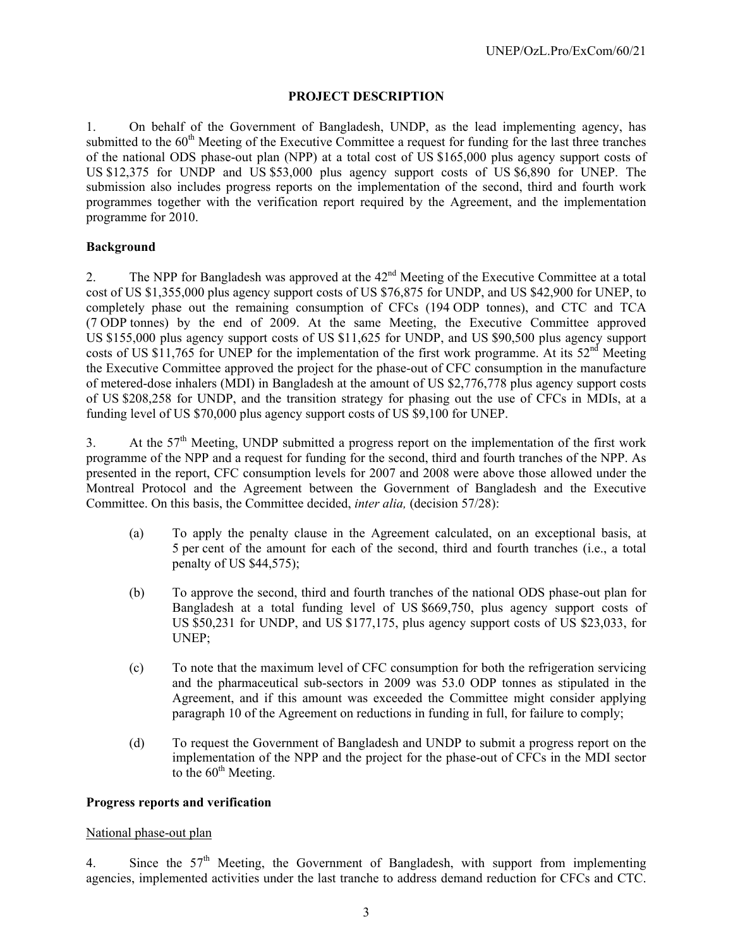### **PROJECT DESCRIPTION**

1. On behalf of the Government of Bangladesh, UNDP, as the lead implementing agency, has submitted to the  $60<sup>th</sup>$  Meeting of the Executive Committee a request for funding for the last three tranches of the national ODS phase-out plan (NPP) at a total cost of US \$165,000 plus agency support costs of US \$12,375 for UNDP and US \$53,000 plus agency support costs of US \$6,890 for UNEP. The submission also includes progress reports on the implementation of the second, third and fourth work programmes together with the verification report required by the Agreement, and the implementation programme for 2010.

#### **Background**

2. The NPP for Bangladesh was approved at the 42<sup>nd</sup> Meeting of the Executive Committee at a total cost of US \$1,355,000 plus agency support costs of US \$76,875 for UNDP, and US \$42,900 for UNEP, to completely phase out the remaining consumption of CFCs (194 ODP tonnes), and CTC and TCA (7 ODP tonnes) by the end of 2009. At the same Meeting, the Executive Committee approved US \$155,000 plus agency support costs of US \$11,625 for UNDP, and US \$90,500 plus agency support costs of US \$11,765 for UNEP for the implementation of the first work programme. At its  $52<sup>nd</sup>$  Meeting the Executive Committee approved the project for the phase-out of CFC consumption in the manufacture of metered-dose inhalers (MDI) in Bangladesh at the amount of US \$2,776,778 plus agency support costs of US \$208,258 for UNDP, and the transition strategy for phasing out the use of CFCs in MDIs, at a funding level of US \$70,000 plus agency support costs of US \$9,100 for UNEP.

3. At the  $57<sup>th</sup>$  Meeting, UNDP submitted a progress report on the implementation of the first work programme of the NPP and a request for funding for the second, third and fourth tranches of the NPP. As presented in the report, CFC consumption levels for 2007 and 2008 were above those allowed under the Montreal Protocol and the Agreement between the Government of Bangladesh and the Executive Committee. On this basis, the Committee decided, *inter alia,* (decision 57/28):

- (a) To apply the penalty clause in the Agreement calculated, on an exceptional basis, at 5 per cent of the amount for each of the second, third and fourth tranches (i.e., a total penalty of US \$44,575);
- (b) To approve the second, third and fourth tranches of the national ODS phase-out plan for Bangladesh at a total funding level of US \$669,750, plus agency support costs of US \$50,231 for UNDP, and US \$177,175, plus agency support costs of US \$23,033, for UNEP;
- (c) To note that the maximum level of CFC consumption for both the refrigeration servicing and the pharmaceutical sub-sectors in 2009 was 53.0 ODP tonnes as stipulated in the Agreement, and if this amount was exceeded the Committee might consider applying paragraph 10 of the Agreement on reductions in funding in full, for failure to comply;
- (d) To request the Government of Bangladesh and UNDP to submit a progress report on the implementation of the NPP and the project for the phase-out of CFCs in the MDI sector to the  $60<sup>th</sup>$  Meeting.

#### **Progress reports and verification**

#### National phase-out plan

4. Since the 57<sup>th</sup> Meeting, the Government of Bangladesh, with support from implementing agencies, implemented activities under the last tranche to address demand reduction for CFCs and CTC.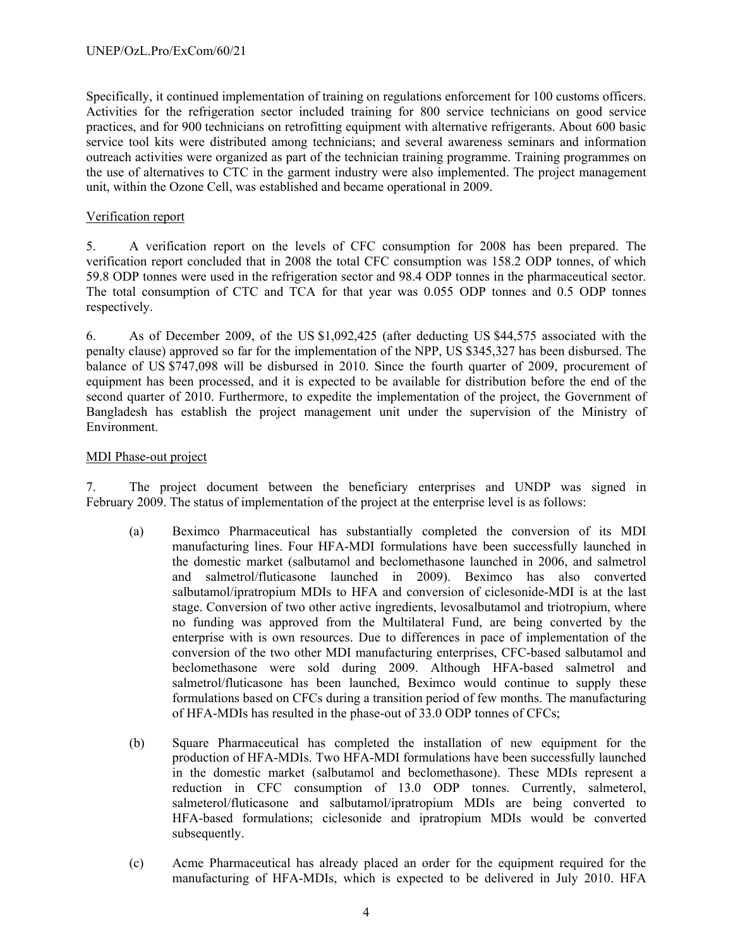Specifically, it continued implementation of training on regulations enforcement for 100 customs officers. Activities for the refrigeration sector included training for 800 service technicians on good service practices, and for 900 technicians on retrofitting equipment with alternative refrigerants. About 600 basic service tool kits were distributed among technicians; and several awareness seminars and information outreach activities were organized as part of the technician training programme. Training programmes on the use of alternatives to CTC in the garment industry were also implemented. The project management unit, within the Ozone Cell, was established and became operational in 2009.

#### Verification report

5. A verification report on the levels of CFC consumption for 2008 has been prepared. The verification report concluded that in 2008 the total CFC consumption was 158.2 ODP tonnes, of which 59.8 ODP tonnes were used in the refrigeration sector and 98.4 ODP tonnes in the pharmaceutical sector. The total consumption of CTC and TCA for that year was 0.055 ODP tonnes and 0.5 ODP tonnes respectively.

6. As of December 2009, of the US \$1,092,425 (after deducting US \$44,575 associated with the penalty clause) approved so far for the implementation of the NPP, US \$345,327 has been disbursed. The balance of US \$747,098 will be disbursed in 2010. Since the fourth quarter of 2009, procurement of equipment has been processed, and it is expected to be available for distribution before the end of the second quarter of 2010. Furthermore, to expedite the implementation of the project, the Government of Bangladesh has establish the project management unit under the supervision of the Ministry of Environment.

#### MDI Phase-out project

7. The project document between the beneficiary enterprises and UNDP was signed in February 2009. The status of implementation of the project at the enterprise level is as follows:

- (a) Beximco Pharmaceutical has substantially completed the conversion of its MDI manufacturing lines. Four HFA-MDI formulations have been successfully launched in the domestic market (salbutamol and beclomethasone launched in 2006, and salmetrol and salmetrol/fluticasone launched in 2009). Beximco has also converted salbutamol/ipratropium MDIs to HFA and conversion of ciclesonide-MDI is at the last stage. Conversion of two other active ingredients, levosalbutamol and triotropium, where no funding was approved from the Multilateral Fund, are being converted by the enterprise with is own resources. Due to differences in pace of implementation of the conversion of the two other MDI manufacturing enterprises, CFC-based salbutamol and beclomethasone were sold during 2009. Although HFA-based salmetrol and salmetrol/fluticasone has been launched, Beximco would continue to supply these formulations based on CFCs during a transition period of few months. The manufacturing of HFA-MDIs has resulted in the phase-out of 33.0 ODP tonnes of CFCs;
- (b) Square Pharmaceutical has completed the installation of new equipment for the production of HFA-MDIs. Two HFA-MDI formulations have been successfully launched in the domestic market (salbutamol and beclomethasone). These MDIs represent a reduction in CFC consumption of 13.0 ODP tonnes. Currently, salmeterol, salmeterol/fluticasone and salbutamol/ipratropium MDIs are being converted to HFA-based formulations; ciclesonide and ipratropium MDIs would be converted subsequently.
- (c) Acme Pharmaceutical has already placed an order for the equipment required for the manufacturing of HFA-MDIs, which is expected to be delivered in July 2010. HFA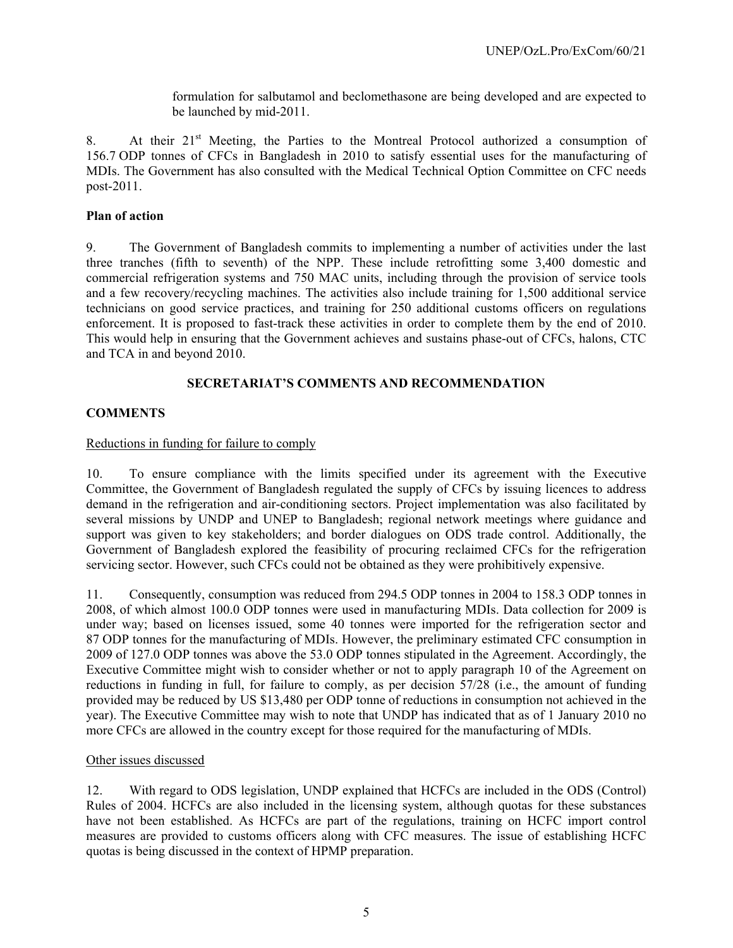formulation for salbutamol and beclomethasone are being developed and are expected to be launched by mid-2011.

8. At their 21<sup>st</sup> Meeting, the Parties to the Montreal Protocol authorized a consumption of 156.7 ODP tonnes of CFCs in Bangladesh in 2010 to satisfy essential uses for the manufacturing of MDIs. The Government has also consulted with the Medical Technical Option Committee on CFC needs post-2011.

#### **Plan of action**

9. The Government of Bangladesh commits to implementing a number of activities under the last three tranches (fifth to seventh) of the NPP. These include retrofitting some 3,400 domestic and commercial refrigeration systems and 750 MAC units, including through the provision of service tools and a few recovery/recycling machines. The activities also include training for 1,500 additional service technicians on good service practices, and training for 250 additional customs officers on regulations enforcement. It is proposed to fast-track these activities in order to complete them by the end of 2010. This would help in ensuring that the Government achieves and sustains phase-out of CFCs, halons, CTC and TCA in and beyond 2010.

#### **SECRETARIAT'S COMMENTS AND RECOMMENDATION**

#### **COMMENTS**

#### Reductions in funding for failure to comply

10. To ensure compliance with the limits specified under its agreement with the Executive Committee, the Government of Bangladesh regulated the supply of CFCs by issuing licences to address demand in the refrigeration and air-conditioning sectors. Project implementation was also facilitated by several missions by UNDP and UNEP to Bangladesh; regional network meetings where guidance and support was given to key stakeholders; and border dialogues on ODS trade control. Additionally, the Government of Bangladesh explored the feasibility of procuring reclaimed CFCs for the refrigeration servicing sector. However, such CFCs could not be obtained as they were prohibitively expensive.

11. Consequently, consumption was reduced from 294.5 ODP tonnes in 2004 to 158.3 ODP tonnes in 2008, of which almost 100.0 ODP tonnes were used in manufacturing MDIs. Data collection for 2009 is under way; based on licenses issued, some 40 tonnes were imported for the refrigeration sector and 87 ODP tonnes for the manufacturing of MDIs. However, the preliminary estimated CFC consumption in 2009 of 127.0 ODP tonnes was above the 53.0 ODP tonnes stipulated in the Agreement. Accordingly, the Executive Committee might wish to consider whether or not to apply paragraph 10 of the Agreement on reductions in funding in full, for failure to comply, as per decision 57/28 (i.e., the amount of funding provided may be reduced by US \$13,480 per ODP tonne of reductions in consumption not achieved in the year). The Executive Committee may wish to note that UNDP has indicated that as of 1 January 2010 no more CFCs are allowed in the country except for those required for the manufacturing of MDIs.

#### Other issues discussed

12. With regard to ODS legislation, UNDP explained that HCFCs are included in the ODS (Control) Rules of 2004. HCFCs are also included in the licensing system, although quotas for these substances have not been established. As HCFCs are part of the regulations, training on HCFC import control measures are provided to customs officers along with CFC measures. The issue of establishing HCFC quotas is being discussed in the context of HPMP preparation.